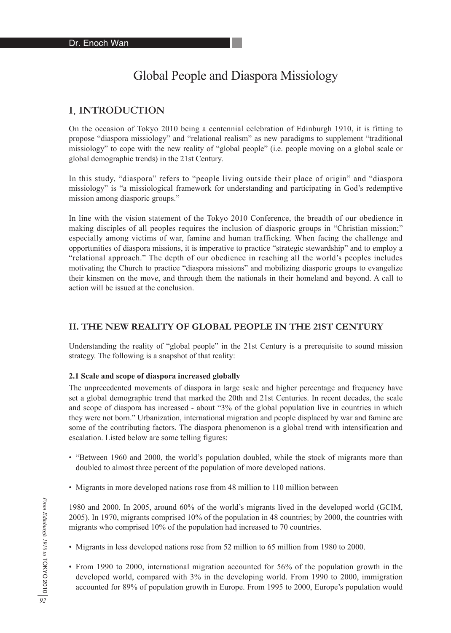# Global People and Diaspora Missiology

# I. INTRODUCTION

On the occasion of Tokyo 2010 being a centennial celebration of Edinburgh 1910, it is fitting to propose "diaspora missiology" and "relational realism" as new paradigms to supplement "traditional missiology" to cope with the new reality of "global people" (i.e. people moving on a global scale or global demographic trends) in the 21st Century.

In this study, "diaspora" refers to "people living outside their place of origin" and "diaspora missiology" is "a missiological framework for understanding and participating in God's redemptive mission among diasporic groups."

In line with the vision statement of the Tokyo 2010 Conference, the breadth of our obedience in making disciples of all peoples requires the inclusion of diasporic groups in "Christian mission;" especially among victims of war, famine and human trafficking. When facing the challenge and opportunities of diaspora missions, it is imperative to practice "strategic stewardship" and to employ a "relational approach." The depth of our obedience in reaching all the world's peoples includes motivating the Church to practice "diaspora missions" and mobilizing diasporic groups to evangelize their kinsmen on the move, and through them the nationals in their homeland and beyond. A call to action will be issued at the conclusion.

### **II. THE NEW REALITY OF GLOBAL PEOPLE IN THE 21ST CENTURY**

Understanding the reality of "global people" in the 21st Century is a prerequisite to sound mission strategy. The following is a snapshot of that reality:

#### **2.1 Scale and scope of diaspora increased globally**

The unprecedented movements of diaspora in large scale and higher percentage and frequency have set a global demographic trend that marked the 20th and 21st Centuries. In recent decades, the scale and scope of diaspora has increased - about "3% of the global population live in countries in which they were not born." Urbanization, international migration and people displaced by war and famine are some of the contributing factors. The diaspora phenomenon is a global trend with intensification and escalation. Listed below are some telling figures:

- "Between 1960 and 2000, the world's population doubled, while the stock of migrants more than doubled to almost three percent of the population of more developed nations.
- Migrants in more developed nations rose from 48 million to 110 million between

1980 and 2000. In 2005, around 60% of the world's migrants lived in the developed world (GCIM, 2005). In 1970, migrants comprised 10% of the population in 48 countries; by 2000, the countries with migrants who comprised 10% of the population had increased to 70 countries.

- Migrants in less developed nations rose from 52 million to 65 million from 1980 to 2000.
- From 1990 to 2000, international migration accounted for 56% of the population growth in the developed world, compared with 3% in the developing world. From 1990 to 2000, immigration accounted for 89% of population growth in Europe. From 1995 to 2000, Europe's population would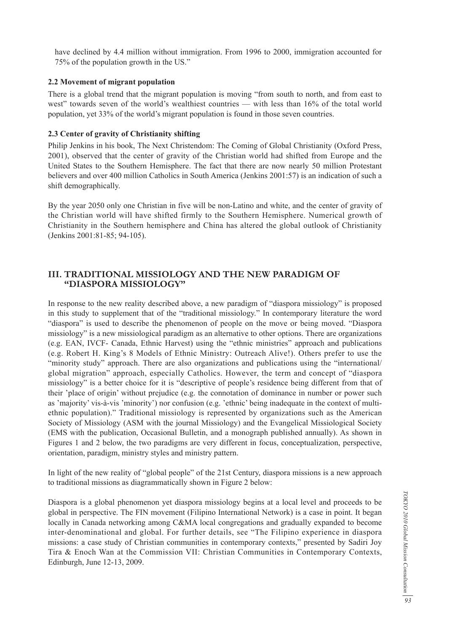have declined by 4.4 million without immigration. From 1996 to 2000, immigration accounted for 75% of the population growth in the US."

#### **2.2 Movement of migrant population**

There is a global trend that the migrant population is moving "from south to north, and from east to west" towards seven of the world's wealthiest countries — with less than 16% of the total world population, yet 33% of the world's migrant population is found in those seven countries.

#### **2.3 Center of gravity of Christianity shifting**

Philip Jenkins in his book, The Next Christendom: The Coming of Global Christianity (Oxford Press, 2001), observed that the center of gravity of the Christian world had shifted from Europe and the United States to the Southern Hemisphere. The fact that there are now nearly 50 million Protestant believers and over 400 million Catholics in South America (Jenkins 2001:57) is an indication of such a shift demographically.

By the year 2050 only one Christian in five will be non-Latino and white, and the center of gravity of the Christian world will have shifted firmly to the Southern Hemisphere. Numerical growth of Christianity in the Southern hemisphere and China has altered the global outlook of Christianity (Jenkins 2001:81-85; 94-105).

### **III. TRADITIONAL MISSIOLOGY AND THE NEW PARADIGM OF "DIASPORA MISSIOLOGY"**

In response to the new reality described above, a new paradigm of "diaspora missiology" is proposed in this study to supplement that of the "traditional missiology." In contemporary literature the word "diaspora" is used to describe the phenomenon of people on the move or being moved. "Diaspora missiology" is a new missiological paradigm as an alternative to other options. There are organizations (e.g. EAN, IVCF- Canada, Ethnic Harvest) using the "ethnic ministries" approach and publications (e.g. Robert H. King's 8 Models of Ethnic Ministry: Outreach Alive!). Others prefer to use the "minority study" approach. There are also organizations and publications using the "international/ global migration" approach, especially Catholics. However, the term and concept of "diaspora missiology" is a better choice for it is "descriptive of people's residence being different from that of their 'place of origin' without prejudice (e.g. the connotation of dominance in number or power such as 'majority' vis-à-vis 'minority') nor confusion (e.g. 'ethnic' being inadequate in the context of multiethnic population)." Traditional missiology is represented by organizations such as the American Society of Missiology (ASM with the journal Missiology) and the Evangelical Missiological Society (EMS with the publication, Occasional Bulletin, and a monograph published annually). As shown in Figures 1 and 2 below, the two paradigms are very different in focus, conceptualization, perspective, orientation, paradigm, ministry styles and ministry pattern.

In light of the new reality of "global people" of the 21st Century, diaspora missions is a new approach to traditional missions as diagrammatically shown in Figure 2 below:

Diaspora is a global phenomenon yet diaspora missiology begins at a local level and proceeds to be global in perspective. The FIN movement (Filipino International Network) is a case in point. It began locally in Canada networking among C&MA local congregations and gradually expanded to become inter-denominational and global. For further details, see "The Filipino experience in diaspora missions: a case study of Christian communities in contemporary contexts," presented by Sadiri Joy Tira & Enoch Wan at the Commission VII: Christian Communities in Contemporary Contexts, Edinburgh, June 12-13, 2009.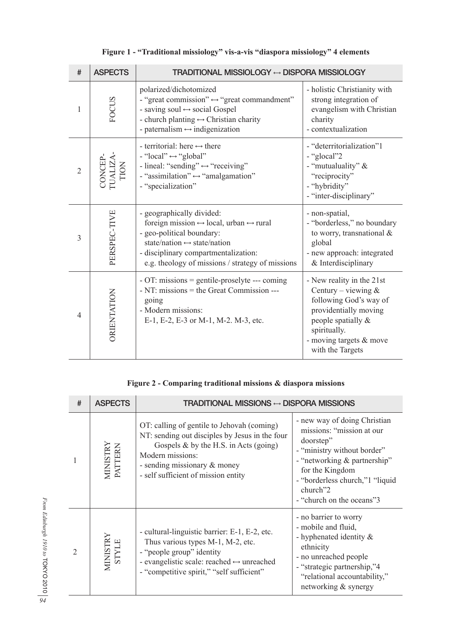| $\#$           | <b>ASPECTS</b>             | <b>TRADITIONAL MISSIOLOGY ↔ DISPORA MISSIOLOGY</b>                                                                                                                                                                                                                          |                                                                                                                                                                                            |
|----------------|----------------------------|-----------------------------------------------------------------------------------------------------------------------------------------------------------------------------------------------------------------------------------------------------------------------------|--------------------------------------------------------------------------------------------------------------------------------------------------------------------------------------------|
| $\mathbf{1}$   | <b>FOCUS</b>               | polarized/dichotomized<br>- "great commission" $\leftrightarrow$ "great commandment"<br>- saving soul $\leftrightarrow$ social Gospel<br>- church planting $\leftrightarrow$ Christian charity<br>- paternalism $\leftrightarrow$ indigenization                            | - holistic Christianity with<br>strong integration of<br>evangelism with Christian<br>charity<br>- contextualization                                                                       |
| $\overline{2}$ | CONCEP-<br>UALIZA-<br>TION | - territorial: here $\leftrightarrow$ there<br>- "local" $\leftrightarrow$ "global"<br>- lineal: "sending" $\leftrightarrow$ "receiving"<br>- "assimilation" $\leftrightarrow$ "amalgamation"<br>- "specialization"                                                         | - "deterritorialization"1<br>- "glocal"2<br>- "mutualuality" &<br>"reciprocity"<br>- "hybridity"<br>- "inter-disciplinary"                                                                 |
| 3              | PERSPEC-TIVE               | - geographically divided:<br>foreign mission $\leftrightarrow$ local, urban $\leftrightarrow$ rural<br>- geo-political boundary:<br>state/nation $\leftrightarrow$ state/nation<br>- disciplinary compartmentalization:<br>e.g. theology of missions / strategy of missions | - non-spatial,<br>- "borderless," no boundary<br>to worry, transnational &<br>global<br>- new approach: integrated<br>& Interdisciplinary                                                  |
| 4              | ORIENTATION                | - OT: missions = gentile-proselyte --- coming<br>- NT: missions = the Great Commission ---<br>going<br>- Modern missions:<br>E-1, E-2, E-3 or M-1, M-2. M-3, etc.                                                                                                           | - New reality in the 21st<br>Century – viewing $&$<br>following God's way of<br>providentially moving<br>people spatially &<br>spiritually.<br>- moving targets & move<br>with the Targets |

# **Figure 1 - "Traditional missiology" vis-a-vis "diaspora missiology" 4 elements**

# **Figure 2 - Comparing traditional missions & diaspora missions**

| # | <b>ASPECTS</b>      | <b>TRADITIONAL MISSIONS ↔ DISPORA MISSIONS</b>                                                                                                                                                                                      |                                                                                                                                                                                                                                      |
|---|---------------------|-------------------------------------------------------------------------------------------------------------------------------------------------------------------------------------------------------------------------------------|--------------------------------------------------------------------------------------------------------------------------------------------------------------------------------------------------------------------------------------|
|   | MINISTRY<br>PATTERN | OT: calling of gentile to Jehovah (coming)<br>NT: sending out disciples by Jesus in the four<br>Gospels $\&$ by the H.S. in Acts (going)<br>Modern missions:<br>- sending missionary & money<br>- self sufficient of mission entity | - new way of doing Christian<br>missions: "mission at our<br>doorstep"<br>- "ministry without border"<br>- "networking & partnership"<br>for the Kingdom<br>- "borderless church,"1 "liquid<br>church"2<br>- "church on the oceans"3 |
|   | MINISTRY<br>STYLE   | - cultural-linguistic barrier: E-1, E-2, etc.<br>Thus various types M-1, M-2, etc.<br>- "people group" identity<br>- evangelistic scale: reached $\leftrightarrow$ unreached<br>- "competitive spirit," "self sufficient"           | - no barrier to worry<br>- mobile and fluid,<br>- hyphenated identity $\&$<br>ethnicity<br>- no unreached people<br>- "strategic partnership,"4<br>"relational accountability,"<br>networking & synergy                              |

From Edinburgh 1910 to TOKYO 2010  $|\approx$ *94From Edinburgh 1910 to* TOKYO 2010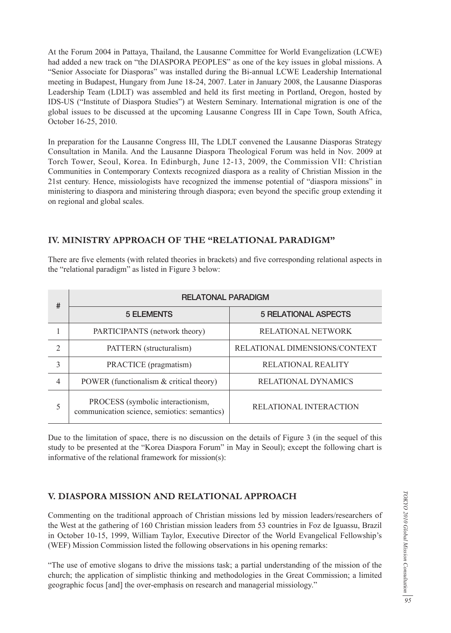At the Forum 2004 in Pattaya, Thailand, the Lausanne Committee for World Evangelization (LCWE) had added a new track on "the DIASPORA PEOPLES" as one of the key issues in global missions. A "Senior Associate for Diasporas" was installed during the Bi-annual LCWE Leadership International meeting in Budapest, Hungary from June 18-24, 2007. Later in January 2008, the Lausanne Diasporas Leadership Team (LDLT) was assembled and held its first meeting in Portland, Oregon, hosted by IDS-US ("Institute of Diaspora Studies") at Western Seminary. International migration is one of the global issues to be discussed at the upcoming Lausanne Congress III in Cape Town, South Africa, October 16-25, 2010.

In preparation for the Lausanne Congress III, The LDLT convened the Lausanne Diasporas Strategy Consultation in Manila. And the Lausanne Diaspora Theological Forum was held in Nov. 2009 at Torch Tower, Seoul, Korea. In Edinburgh, June 12-13, 2009, the Commission VII: Christian Communities in Contemporary Contexts recognized diaspora as a reality of Christian Mission in the 21st century. Hence, missiologists have recognized the immense potential of "diaspora missions" in ministering to diaspora and ministering through diaspora; even beyond the specific group extending it on regional and global scales.

### **IV. MINISTRY APPROACH OF THE "RELATIONAL PARADIGM"**

There are five elements (with related theories in brackets) and five corresponding relational aspects in the "relational paradigm" as listed in Figure 3 below:

| #              | <b>RELATONAL PARADIGM</b>                                                         |                               |  |
|----------------|-----------------------------------------------------------------------------------|-------------------------------|--|
|                | <b>5 ELEMENTS</b>                                                                 | <b>5 RELATIONAL ASPECTS</b>   |  |
|                | PARTICIPANTS (network theory)                                                     | <b>RELATIONAL NETWORK</b>     |  |
| $\mathfrak{D}$ | PATTERN (structuralism)                                                           | RELATIONAL DIMENSIONS/CONTEXT |  |
| 3              | PRACTICE (pragmatism)                                                             | <b>RELATIONAL REALITY</b>     |  |
| 4              | POWER (functionalism & critical theory)                                           | <b>RELATIONAL DYNAMICS</b>    |  |
| 5              | PROCESS (symbolic interactionism,<br>communication science, semiotics: semantics) | <b>RELATIONAL INTERACTION</b> |  |

Due to the limitation of space, there is no discussion on the details of Figure 3 (in the sequel of this study to be presented at the "Korea Diaspora Forum" in May in Seoul); except the following chart is informative of the relational framework for mission(s):

### **V. DIASPORA MISSION AND RELATIONAL APPROACH**

Commenting on the traditional approach of Christian missions led by mission leaders/researchers of the West at the gathering of 160 Christian mission leaders from 53 countries in Foz de Iguassu, Brazil in October 10-15, 1999, William Taylor, Executive Director of the World Evangelical Fellowship's (WEF) Mission Commission listed the following observations in his opening remarks:

"The use of emotive slogans to drive the missions task; a partial understanding of the mission of the church; the application of simplistic thinking and methodologies in the Great Commission; a limited geographic focus [and] the over-emphasis on research and managerial missiology."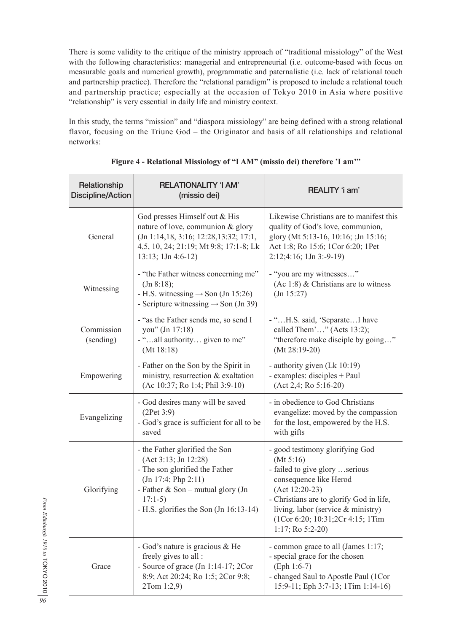There is some validity to the critique of the ministry approach of "traditional missiology" of the West with the following characteristics: managerial and entrepreneurial (i.e. outcome-based with focus on measurable goals and numerical growth), programmatic and paternalistic (i.e. lack of relational touch and partnership practice). Therefore the "relational paradigm" is proposed to include a relational touch and partnership practice; especially at the occasion of Tokyo 2010 in Asia where positive "relationship" is very essential in daily life and ministry context.

In this study, the terms "mission" and "diaspora missiology" are being defined with a strong relational flavor, focusing on the Triune God – the Originator and basis of all relationships and relational networks:

| Relationship<br><b>Discipline/Action</b> | <b>RELATIONALITY 'I AM'</b><br>(missio dei)                                                                                                                                                                | REALITY 'i am'                                                                                                                                                                                                                                                               |
|------------------------------------------|------------------------------------------------------------------------------------------------------------------------------------------------------------------------------------------------------------|------------------------------------------------------------------------------------------------------------------------------------------------------------------------------------------------------------------------------------------------------------------------------|
| General                                  | God presses Himself out & His<br>nature of love, communion & glory<br>(Jn 1:14,18, 3:16; 12:28, 13:32; 17:1,<br>4,5, 10, 24; 21:19; Mt 9:8; 17:1-8; Lk<br>$13:13$ ; $1Jn 4:6-12$ )                         | Likewise Christians are to manifest this<br>quality of God's love, communion,<br>glory (Mt 5:13-16, 10:16; ;Jn 15:16;<br>Act 1:8; Ro 15:6; 1Cor 6:20; 1Pet<br>2:12;4:16; 1Jn 3:-9-19)                                                                                        |
| Witnessing                               | - "the Father witness concerning me"<br>(In 8:18);<br>- H.S. witnessing $\rightarrow$ Son (Jn 15:26)<br>- Scripture witnessing $\rightarrow$ Son (Jn 39)                                                   | - "you are my witnesses"<br>(Ac 1:8) $&$ Christians are to witness<br>(In 15:27)                                                                                                                                                                                             |
| Commission<br>(sending)                  | - "as the Father sends me, so send I<br>you" (Jn 17:18)<br>- "all authority given to me"<br>(Mt 18:18)                                                                                                     | - "H.S. said, 'SeparateI have<br>called Them'" (Acts 13:2);<br>"therefore make disciple by going"<br>$(Mt 28:19-20)$                                                                                                                                                         |
| Empowering                               | - Father on the Son by the Spirit in<br>ministry, resurrection & exaltation<br>(Ac 10:37; Ro 1:4; Phil 3:9-10)                                                                                             | - authority given (Lk 10:19)<br>- examples: disciples + Paul<br>$(Act 2, 4; Ro 5:16-20)$                                                                                                                                                                                     |
| Evangelizing                             | - God desires many will be saved<br>(2Pet 3:9)<br>- God's grace is sufficient for all to be<br>saved                                                                                                       | - in obedience to God Christians<br>evangelize: moved by the compassion<br>for the lost, empowered by the H.S.<br>with gifts                                                                                                                                                 |
| Glorifying                               | - the Father glorified the Son<br>(Act 3:13; Jn 12:28)<br>- The son glorified the Father<br>(In 17:4; Php 2:11)<br>- Father & Son - mutual glory (Jn<br>$17:1-5$<br>- H.S. glorifies the Son (Jn 16:13-14) | - good testimony glorifying God<br>(Mt 5:16)<br>- failed to give glory serious<br>consequence like Herod<br>$(Act 12:20-23)$<br>- Christians are to glorify God in life,<br>living, labor (service & ministry)<br>(1Cor 6:20; 10:31;2Cr 4:15; 1Tim<br>$1:17$ ; Ro $5:2-20$ ) |
| Grace                                    | - God's nature is gracious & He<br>freely gives to all:<br>- Source of grace (Jn 1:14-17; 2Cor<br>8:9; Act 20:24; Ro 1:5; 2Cor 9:8;<br>2Tom 1:2,9)                                                         | - common grace to all (James 1:17;<br>- special grace for the chosen<br>$(Eph 1:6-7)$<br>- changed Saul to Apostle Paul (1Cor<br>15:9-11; Eph 3:7-13; 1Tim 1:14-16)                                                                                                          |

**Figure 4 - Relational Missiology of "I AM" (missio dei) therefore 'I am'"**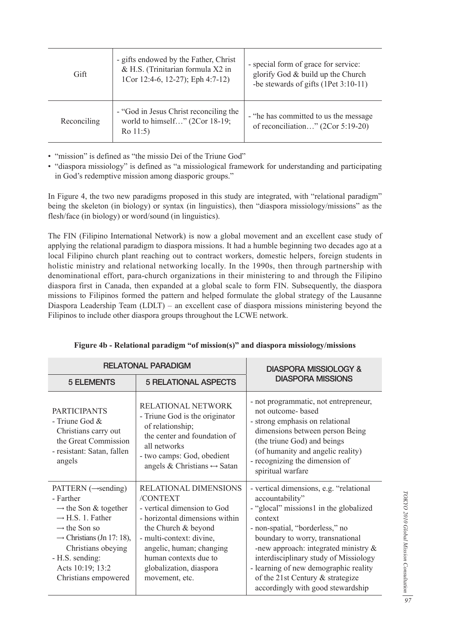| Gift        | - gifts endowed by the Father, Christ<br>& H.S. (Trinitarian formula X2 in<br>1Cor 12:4-6, 12-27); Eph 4:7-12) | - special form of grace for service:<br>glorify God & build up the Church<br>-be stewards of gifts (1Pet 3:10-11) |
|-------------|----------------------------------------------------------------------------------------------------------------|-------------------------------------------------------------------------------------------------------------------|
| Reconciling | - "God in Jesus Christ reconciling the<br>world to himself" (2Cor 18-19;<br>$Ro$ 11:5)                         | - "he has committed to us the message"<br>of reconciliation" (2Cor 5:19-20)                                       |

• "mission" is defined as "the missio Dei of the Triune God"

• "diaspora missiology" is defined as "a missiological framework for understanding and participating in God's redemptive mission among diasporic groups."

In Figure 4, the two new paradigms proposed in this study are integrated, with "relational paradigm" being the skeleton (in biology) or syntax (in linguistics), then "diaspora missiology/missions" as the flesh/face (in biology) or word/sound (in linguistics).

The FIN (Filipino International Network) is now a global movement and an excellent case study of applying the relational paradigm to diaspora missions. It had a humble beginning two decades ago at a local Filipino church plant reaching out to contract workers, domestic helpers, foreign students in holistic ministry and relational networking locally. In the 1990s, then through partnership with denominational effort, para-church organizations in their ministering to and through the Filipino diaspora first in Canada, then expanded at a global scale to form FIN. Subsequently, the diaspora missions to Filipinos formed the pattern and helped formulate the global strategy of the Lausanne Diaspora Leadership Team (LDLT) – an excellent case of diaspora missions ministering beyond the Filipinos to include other diaspora groups throughout the LCWE network.

|                                                                                                                                                                                                                                                                            | <b>RELATONAL PARADIGM</b>                                                                                                                                                                                                                               | <b>DIASPORA MISSIOLOGY &amp;</b>                                                                                                                                                                                                                                                                                                                                                                |  |
|----------------------------------------------------------------------------------------------------------------------------------------------------------------------------------------------------------------------------------------------------------------------------|---------------------------------------------------------------------------------------------------------------------------------------------------------------------------------------------------------------------------------------------------------|-------------------------------------------------------------------------------------------------------------------------------------------------------------------------------------------------------------------------------------------------------------------------------------------------------------------------------------------------------------------------------------------------|--|
| <b>5 ELEMENTS</b>                                                                                                                                                                                                                                                          | <b>5 RELATIONAL ASPECTS</b>                                                                                                                                                                                                                             | <b>DIASPORA MISSIONS</b>                                                                                                                                                                                                                                                                                                                                                                        |  |
| <b>PARTICIPANTS</b><br>- Triune God $&$<br>Christians carry out<br>the Great Commission<br>- resistant: Satan, fallen<br>angels                                                                                                                                            | RELATIONAL NETWORK<br>- Triune God is the originator<br>of relationship;<br>the center and foundation of<br>all networks<br>- two camps: God, obedient<br>angels & Christians $\leftrightarrow$ Satan                                                   | - not programmatic, not entrepreneur,<br>not outcome- based<br>- strong emphasis on relational<br>dimensions between person Being<br>(the triune God) and beings<br>(of humanity and angelic reality)<br>- recognizing the dimension of<br>spiritual warfare                                                                                                                                    |  |
| PATTERN $(\rightarrow$ sending)<br>- Farther<br>$\rightarrow$ the Son & together<br>$\rightarrow$ H.S. 1. Father<br>$\rightarrow$ the Son so<br>$\rightarrow$ Christians (Jn 17: 18),<br>Christians obeying<br>- H.S. sending:<br>Acts 10:19; 13:2<br>Christians empowered | RELATIONAL DIMENSIONS<br>/CONTEXT<br>- vertical dimension to God<br>- horizontal dimensions within<br>the Church & beyond<br>- multi-context: divine,<br>angelic, human; changing<br>human contexts due to<br>globalization, diaspora<br>movement, etc. | - vertical dimensions, e.g. "relational"<br>accountability"<br>- "glocal" missions1 in the globalized<br>context<br>- non-spatial, "borderless," no<br>boundary to worry, transnational<br>-new approach: integrated ministry $\&$<br>interdisciplinary study of Missiology<br>- learning of new demographic reality<br>of the 21st Century $&$ strategize<br>accordingly with good stewardship |  |

**Figure 4b - Relational paradigm "of mission(s)" and diaspora missiology/missions**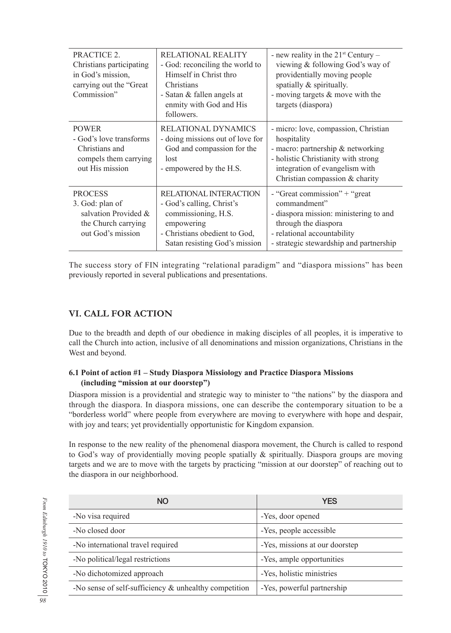| PRACTICE 2.<br>Christians participating<br>in God's mission,<br>carrying out the "Great"<br>Commission" | <b>RELATIONAL REALITY</b><br>- God: reconciling the world to<br>Himself in Christ thro<br>Christians<br>- Satan & fallen angels at<br>enmity with God and His<br>followers. | - new reality in the $21^{st}$ Century –<br>viewing & following God's way of<br>providentially moving people<br>spatially & spiritually.<br>- moving targets $&$ move with the<br>targets (diaspora)   |
|---------------------------------------------------------------------------------------------------------|-----------------------------------------------------------------------------------------------------------------------------------------------------------------------------|--------------------------------------------------------------------------------------------------------------------------------------------------------------------------------------------------------|
| <b>POWER</b><br>- God's love transforms<br>Christians and<br>compels them carrying<br>out His mission   | RELATIONAL DYNAMICS<br>- doing missions out of love for<br>God and compassion for the<br>lost<br>- empowered by the H.S.                                                    | - micro: love, compassion, Christian<br>hospitality<br>- macro: partnership $\&$ networking<br>- holistic Christianity with strong<br>integration of evangelism with<br>Christian compassion & charity |
| <b>PROCESS</b><br>3. God: plan of<br>salvation Provided &<br>the Church carrying<br>out God's mission   | RELATIONAL INTERACTION<br>- God's calling, Christ's<br>commissioning, H.S.<br>empowering<br>- Christians obedient to God,<br>Satan resisting God's mission                  | - "Great commission" + "great"<br>commandment"<br>- diaspora mission: ministering to and<br>through the diaspora<br>- relational accountability<br>- strategic stewardship and partnership             |

The success story of FIN integrating "relational paradigm" and "diaspora missions" has been previously reported in several publications and presentations.

# **VI. CALL FOR ACTION**

Due to the breadth and depth of our obedience in making disciples of all peoples, it is imperative to call the Church into action, inclusive of all denominations and mission organizations, Christians in the West and beyond.

### **6.1 Point of action #1 – Study Diaspora Missiology and Practice Diaspora Missions (including "mission at our doorstep")**

Diaspora mission is a providential and strategic way to minister to "the nations" by the diaspora and through the diaspora. In diaspora missions, one can describe the contemporary situation to be a "borderless world" where people from everywhere are moving to everywhere with hope and despair, with joy and tears; yet providentially opportunistic for Kingdom expansion.

In response to the new reality of the phenomenal diaspora movement, the Church is called to respond to God's way of providentially moving people spatially & spiritually. Diaspora groups are moving targets and we are to move with the targets by practicing "mission at our doorstep" of reaching out to the diaspora in our neighborhood.

| <b>NO</b>                                                | <b>YES</b>                     |
|----------------------------------------------------------|--------------------------------|
| -No visa required                                        | -Yes, door opened              |
| -No closed door                                          | -Yes, people accessible        |
| -No international travel required                        | -Yes, missions at our doorstep |
| -No political/legal restrictions                         | -Yes, ample opportunities      |
| -No dichotomized approach                                | -Yes, holistic ministries      |
| -No sense of self-sufficiency $\&$ unhealthy competition | -Yes, powerful partnership     |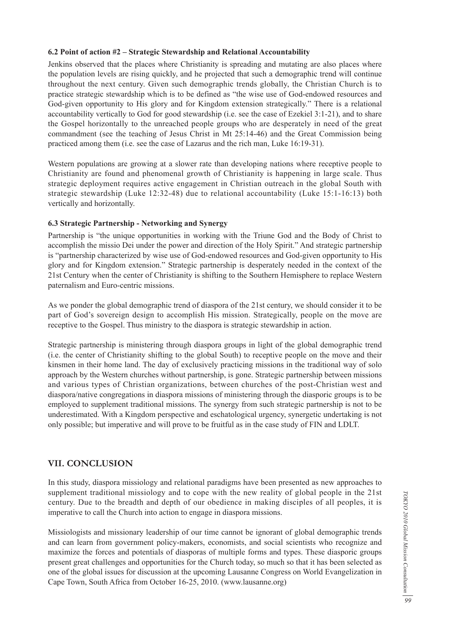### **6.2 Point of action #2 – Strategic Stewardship and Relational Accountability**

Jenkins observed that the places where Christianity is spreading and mutating are also places where the population levels are rising quickly, and he projected that such a demographic trend will continue throughout the next century. Given such demographic trends globally, the Christian Church is to practice strategic stewardship which is to be defined as "the wise use of God-endowed resources and God-given opportunity to His glory and for Kingdom extension strategically." There is a relational accountability vertically to God for good stewardship (i.e. see the case of Ezekiel 3:1-21), and to share the Gospel horizontally to the unreached people groups who are desperately in need of the great commandment (see the teaching of Jesus Christ in Mt 25:14-46) and the Great Commission being practiced among them (i.e. see the case of Lazarus and the rich man, Luke 16:19-31).

Western populations are growing at a slower rate than developing nations where receptive people to Christianity are found and phenomenal growth of Christianity is happening in large scale. Thus strategic deployment requires active engagement in Christian outreach in the global South with strategic stewardship (Luke 12:32-48) due to relational accountability (Luke 15:1-16:13) both vertically and horizontally.

### **6.3 Strategic Partnership - Networking and Synergy**

Partnership is "the unique opportunities in working with the Triune God and the Body of Christ to accomplish the missio Dei under the power and direction of the Holy Spirit." And strategic partnership is "partnership characterized by wise use of God-endowed resources and God-given opportunity to His glory and for Kingdom extension." Strategic partnership is desperately needed in the context of the 21st Century when the center of Christianity is shifting to the Southern Hemisphere to replace Western paternalism and Euro-centric missions.

As we ponder the global demographic trend of diaspora of the 21st century, we should consider it to be part of God's sovereign design to accomplish His mission. Strategically, people on the move are receptive to the Gospel. Thus ministry to the diaspora is strategic stewardship in action.

Strategic partnership is ministering through diaspora groups in light of the global demographic trend (i.e. the center of Christianity shifting to the global South) to receptive people on the move and their kinsmen in their home land. The day of exclusively practicing missions in the traditional way of solo approach by the Western churches without partnership, is gone. Strategic partnership between missions and various types of Christian organizations, between churches of the post-Christian west and diaspora/native congregations in diaspora missions of ministering through the diasporic groups is to be employed to supplement traditional missions. The synergy from such strategic partnership is not to be underestimated. With a Kingdom perspective and eschatological urgency, synergetic undertaking is not only possible; but imperative and will prove to be fruitful as in the case study of FIN and LDLT.

### **VII. CONCLUSION**

In this study, diaspora missiology and relational paradigms have been presented as new approaches to supplement traditional missiology and to cope with the new reality of global people in the 21st century. Due to the breadth and depth of our obedience in making disciples of all peoples, it is imperative to call the Church into action to engage in diaspora missions.

Missiologists and missionary leadership of our time cannot be ignorant of global demographic trends and can learn from government policy-makers, economists, and social scientists who recognize and maximize the forces and potentials of diasporas of multiple forms and types. These diasporic groups present great challenges and opportunities for the Church today, so much so that it has been selected as one of the global issues for discussion at the upcoming Lausanne Congress on World Evangelization in Cape Town, South Africa from October 16-25, 2010. (www.lausanne.org)